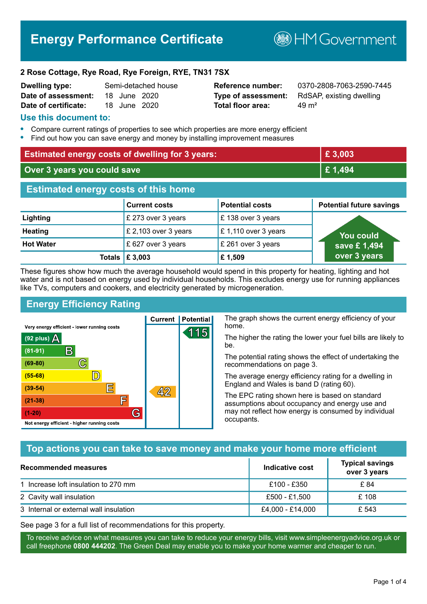# **Energy Performance Certificate**

**B**HM Government

#### **2 Rose Cottage, Rye Road, Rye Foreign, RYE, TN31 7SX**

| <b>Dwelling type:</b> |              | Semi-detached hous |
|-----------------------|--------------|--------------------|
| Date of assessment:   | 18 June 2020 |                    |
| Date of certificate:  | 18 June 2020 |                    |

# **Total floor area:** 49 m<sup>2</sup>

**Dwelling type:** Semi-detached house **Reference number:** 0370-2808-7063-2590-7445 **Type of assessment:** RdSAP, existing dwelling

#### **Use this document to:**

- **•** Compare current ratings of properties to see which properties are more energy efficient
- **•** Find out how you can save energy and money by installing improvement measures

| <b>Estimated energy costs of dwelling for 3 years:</b> |                                 | £3,003                 |                                 |
|--------------------------------------------------------|---------------------------------|------------------------|---------------------------------|
| Over 3 years you could save                            |                                 | £1,494                 |                                 |
| <b>Estimated energy costs of this home</b>             |                                 |                        |                                 |
|                                                        | <b>Current costs</b>            | <b>Potential costs</b> | <b>Potential future savings</b> |
| Lighting                                               | £ 273 over 3 years              | £138 over 3 years      |                                 |
| <b>Heating</b>                                         | £ 2,103 over 3 years            | £1,110 over 3 years    | <b>You could</b>                |
| <b>Hot Water</b>                                       | £ 627 over 3 years              | £ 261 over 3 years     | save £1,494                     |
|                                                        | Totals $\mathbf \epsilon$ 3,003 | £1,509                 | over 3 years                    |

These figures show how much the average household would spend in this property for heating, lighting and hot water and is not based on energy used by individual households. This excludes energy use for running appliances like TVs, computers and cookers, and electricity generated by microgeneration.

> 15 1

**Current | Potential** 

 $42$ 

# **Energy Efficiency Rating**

 $\mathbb{C}$ 

 $\overline{\mathbb{D}}$ 

E

庐

G

Very energy efficient - lower running costs

 $\mathsf{R}% _{T}$ 

Not energy efficient - higher running costs

(92 plus)  $\Delta$ 

 $(81 - 91)$ 

 $(69 - 80)$ 

 $(55-68)$ 

 $(39 - 54)$ 

 $(21-38)$ 

 $(1-20)$ 

The graph shows the current energy efficiency of your home.

The higher the rating the lower your fuel bills are likely to be.

The potential rating shows the effect of undertaking the recommendations on page 3.

The average energy efficiency rating for a dwelling in England and Wales is band D (rating 60).

The EPC rating shown here is based on standard assumptions about occupancy and energy use and may not reflect how energy is consumed by individual occupants.

# **Top actions you can take to save money and make your home more efficient**

| Recommended measures                   | Indicative cost  | <b>Typical savings</b><br>over 3 years |
|----------------------------------------|------------------|----------------------------------------|
| 1 Increase loft insulation to 270 mm   | £100 - £350      | £ 84                                   |
| 2 Cavity wall insulation               | £500 - £1.500    | £ 108                                  |
| 3 Internal or external wall insulation | £4,000 - £14,000 | £ 543                                  |

See page 3 for a full list of recommendations for this property.

To receive advice on what measures you can take to reduce your energy bills, visit www.simpleenergyadvice.org.uk or call freephone **0800 444202**. The Green Deal may enable you to make your home warmer and cheaper to run.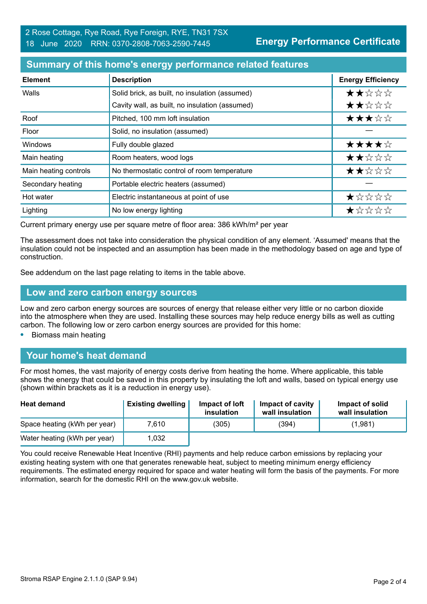### **Summary of this home's energy performance related features**

| <b>Element</b>        | <b>Description</b>                             | <b>Energy Efficiency</b> |
|-----------------------|------------------------------------------------|--------------------------|
| Walls                 | Solid brick, as built, no insulation (assumed) | ★★☆☆☆                    |
|                       | Cavity wall, as built, no insulation (assumed) | ★★☆☆☆                    |
| Roof                  | Pitched, 100 mm loft insulation                | ★★★☆☆                    |
| Floor                 | Solid, no insulation (assumed)                 |                          |
| <b>Windows</b>        | Fully double glazed                            | ★★★★☆                    |
| Main heating          | Room heaters, wood logs                        | ★★☆☆☆                    |
| Main heating controls | No thermostatic control of room temperature    | ★★☆☆☆                    |
| Secondary heating     | Portable electric heaters (assumed)            |                          |
| Hot water             | Electric instantaneous at point of use         | ★☆☆☆☆                    |
| Lighting              | No low energy lighting                         | ★☆☆☆☆                    |

Current primary energy use per square metre of floor area: 386 kWh/m² per year

The assessment does not take into consideration the physical condition of any element. 'Assumed' means that the insulation could not be inspected and an assumption has been made in the methodology based on age and type of construction.

See addendum on the last page relating to items in the table above.

#### **Low and zero carbon energy sources**

Low and zero carbon energy sources are sources of energy that release either very little or no carbon dioxide into the atmosphere when they are used. Installing these sources may help reduce energy bills as well as cutting carbon. The following low or zero carbon energy sources are provided for this home:

**•** Biomass main heating

#### **Your home's heat demand**

For most homes, the vast majority of energy costs derive from heating the home. Where applicable, this table shows the energy that could be saved in this property by insulating the loft and walls, based on typical energy use (shown within brackets as it is a reduction in energy use).

| <b>Heat demand</b>           | <b>Existing dwelling</b> | Impact of loft<br>insulation | Impact of cavity<br>wall insulation | Impact of solid<br>wall insulation |
|------------------------------|--------------------------|------------------------------|-------------------------------------|------------------------------------|
| Space heating (kWh per year) | 7.610                    | (305)                        | (394)                               | (1,981)                            |
| Water heating (kWh per year) | 1,032                    |                              |                                     |                                    |

You could receive Renewable Heat Incentive (RHI) payments and help reduce carbon emissions by replacing your existing heating system with one that generates renewable heat, subject to meeting minimum energy efficiency requirements. The estimated energy required for space and water heating will form the basis of the payments. For more information, search for the domestic RHI on the www.gov.uk website.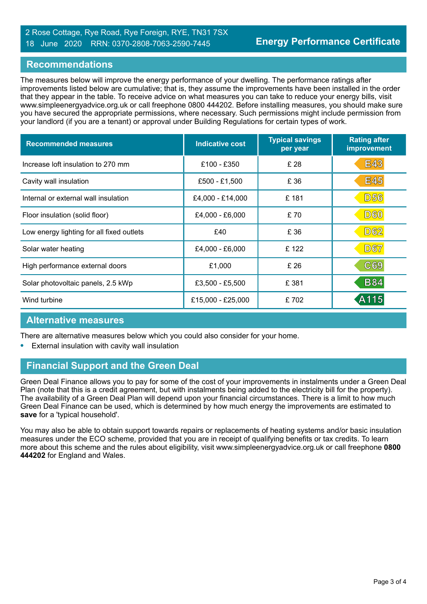#### 2 Rose Cottage, Rye Road, Rye Foreign, RYE, TN31 7SX 18 June 2020 RRN: 0370-2808-7063-2590-7445

#### **Recommendations**

The measures below will improve the energy performance of your dwelling. The performance ratings after improvements listed below are cumulative; that is, they assume the improvements have been installed in the order that they appear in the table. To receive advice on what measures you can take to reduce your energy bills, visit www.simpleenergyadvice.org.uk or call freephone 0800 444202. Before installing measures, you should make sure you have secured the appropriate permissions, where necessary. Such permissions might include permission from your landlord (if you are a tenant) or approval under Building Regulations for certain types of work.

| <b>Recommended measures</b>               | <b>Indicative cost</b> | <b>Typical savings</b><br>per year | <b>Rating after</b><br>improvement |
|-------------------------------------------|------------------------|------------------------------------|------------------------------------|
| Increase loft insulation to 270 mm        | £100 - £350            | £ 28                               | <b>E43</b>                         |
| Cavity wall insulation                    | £500 - £1,500          | £ 36                               | <b>E45</b>                         |
| Internal or external wall insulation      | £4,000 - £14,000       | £181                               | <b>D56</b>                         |
| Floor insulation (solid floor)            | £4,000 - £6,000        | £ 70                               | <b>D60</b>                         |
| Low energy lighting for all fixed outlets | £40                    | £ 36                               | <b>D62</b>                         |
| Solar water heating                       | £4,000 - £6,000        | £122                               | <b>D67</b>                         |
| High performance external doors           | £1,000                 | £ 26                               | C69                                |
| Solar photovoltaic panels, 2.5 kWp        | £3,500 - £5,500        | £ 381                              | <b>B84</b>                         |
| Wind turbine                              | £15,000 - £25,000      | £702                               | A115                               |

#### **Alternative measures**

There are alternative measures below which you could also consider for your home.

**•** External insulation with cavity wall insulation

# **Financial Support and the Green Deal**

Green Deal Finance allows you to pay for some of the cost of your improvements in instalments under a Green Deal Plan (note that this is a credit agreement, but with instalments being added to the electricity bill for the property). The availability of a Green Deal Plan will depend upon your financial circumstances. There is a limit to how much Green Deal Finance can be used, which is determined by how much energy the improvements are estimated to **save** for a 'typical household'.

You may also be able to obtain support towards repairs or replacements of heating systems and/or basic insulation measures under the ECO scheme, provided that you are in receipt of qualifying benefits or tax credits. To learn more about this scheme and the rules about eligibility, visit www.simpleenergyadvice.org.uk or call freephone **0800 444202** for England and Wales.